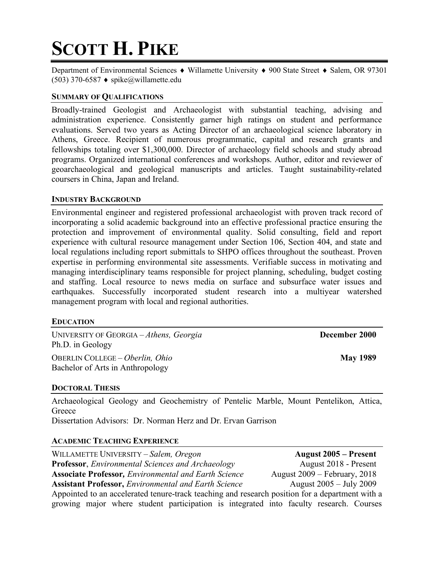# **SCOTT H. PIKE**

Department of Environmental Sciences  $\bullet$  Willamette University  $\bullet$  900 State Street  $\bullet$  Salem, OR 97301  $(503)$  370-6587  $\bullet$  spike@willamette.edu

# **SUMMARY OF QUALIFICATIONS**

Broadly-trained Geologist and Archaeologist with substantial teaching, advising and administration experience. Consistently garner high ratings on student and performance evaluations. Served two years as Acting Director of an archaeological science laboratory in Athens, Greece. Recipient of numerous programmatic, capital and research grants and fellowships totaling over \$1,300,000. Director of archaeology field schools and study abroad programs. Organized international conferences and workshops. Author, editor and reviewer of geoarchaeological and geological manuscripts and articles. Taught sustainability-related coursers in China, Japan and Ireland.

#### **INDUSTRY BACKGROUND**

Environmental engineer and registered professional archaeologist with proven track record of incorporating a solid academic background into an effective professional practice ensuring the protection and improvement of environmental quality. Solid consulting, field and report experience with cultural resource management under Section 106, Section 404, and state and local regulations including report submittals to SHPO offices throughout the southeast. Proven expertise in performing environmental site assessments. Verifiable success in motivating and managing interdisciplinary teams responsible for project planning, scheduling, budget costing and staffing. Local resource to news media on surface and subsurface water issues and earthquakes. Successfully incorporated student research into a multiyear watershed management program with local and regional authorities.

#### **EDUCATION**

UNIVERSITY OF GEORGIA – *Athens, Georgia* **December 2000** Ph.D. in Geology OBERLIN COLLEGE – *Oberlin, Ohio* **May 1989**

Bachelor of Arts in Anthropology

#### **DOCTORAL THESIS**

Archaeological Geology and Geochemistry of Pentelic Marble, Mount Pentelikon, Attica, **Greece** 

Dissertation Advisors: Dr. Norman Herz and Dr. Ervan Garrison

#### **ACADEMIC TEACHING EXPERIENCE**

WILLAMETTE UNIVERSITY – *Salem, Oregon* **August 2005 – Present Professor**, *Environmental Sciences and Archaeology* August 2018 - Present **Associate Professor***, Environmental and Earth Science* August 2009 – February, 2018 Assistant Professor, *Environmental and Earth Science* August 2005 – July 2009 Appointed to an accelerated tenure-track teaching and research position for a department with a growing major where student participation is integrated into faculty research. Courses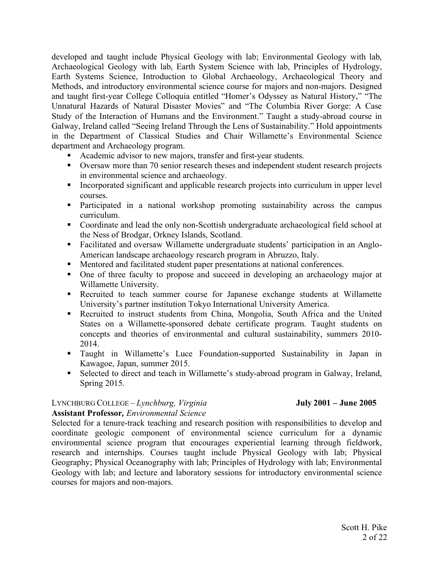developed and taught include Physical Geology with lab; Environmental Geology with lab, Archaeological Geology with lab, Earth System Science with lab, Principles of Hydrology, Earth Systems Science, Introduction to Global Archaeology, Archaeological Theory and Methods, and introductory environmental science course for majors and non-majors. Designed and taught first-year College Colloquia entitled "Homer's Odyssey as Natural History," "The Unnatural Hazards of Natural Disaster Movies" and "The Columbia River Gorge: A Case Study of the Interaction of Humans and the Environment." Taught a study-abroad course in Galway, Ireland called "Seeing Ireland Through the Lens of Sustainability." Hold appointments in the Department of Classical Studies and Chair Willamette's Environmental Science department and Archaeology program.

- § Academic advisor to new majors, transfer and first-year students.
- Oversaw more than 70 senior research theses and independent student research projects in environmental science and archaeology.
- Incorporated significant and applicable research projects into curriculum in upper level courses.
- Participated in a national workshop promoting sustainability across the campus curriculum.
- Coordinate and lead the only non-Scottish undergraduate archaeological field school at the Ness of Brodgar, Orkney Islands, Scotland.
- Facilitated and oversaw Willamette undergraduate students' participation in an Anglo-American landscape archaeology research program in Abruzzo, Italy.
- Mentored and facilitated student paper presentations at national conferences.
- One of three faculty to propose and succeed in developing an archaeology major at Willamette University.
- § Recruited to teach summer course for Japanese exchange students at Willamette University's partner institution Tokyo International University America.
- Recruited to instruct students from China, Mongolia, South Africa and the United States on a Willamette-sponsored debate certificate program. Taught students on concepts and theories of environmental and cultural sustainability, summers 2010- 2014.
- § Taught in Willamette's Luce Foundation-supported Sustainability in Japan in Kawagoe, Japan, summer 2015.
- Selected to direct and teach in Willamette's study-abroad program in Galway, Ireland, Spring 2015.

# LYNCHBURG COLLEGE – *Lynchburg, Virginia* **July 2001 – June 2005**

#### **Assistant Professor***, Environmental Science*

Selected for a tenure-track teaching and research position with responsibilities to develop and coordinate geologic component of environmental science curriculum for a dynamic environmental science program that encourages experiential learning through fieldwork, research and internships. Courses taught include Physical Geology with lab; Physical Geography; Physical Oceanography with lab; Principles of Hydrology with lab; Environmental Geology with lab; and lecture and laboratory sessions for introductory environmental science courses for majors and non-majors.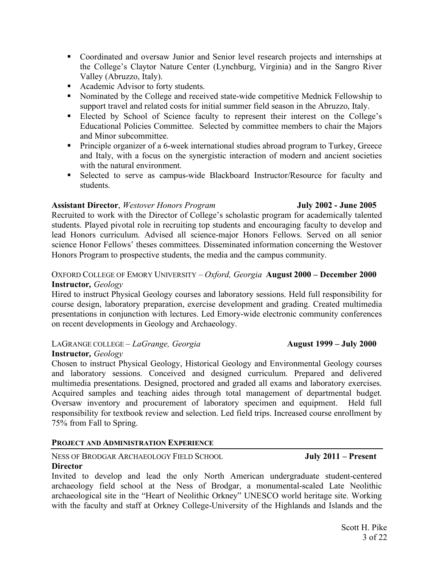- Coordinated and oversaw Junior and Senior level research projects and internships at the College's Claytor Nature Center (Lynchburg, Virginia) and in the Sangro River Valley (Abruzzo, Italy).
- Academic Advisor to forty students.
- Nominated by the College and received state-wide competitive Mednick Fellowship to support travel and related costs for initial summer field season in the Abruzzo, Italy.
- Elected by School of Science faculty to represent their interest on the College's Educational Policies Committee. Selected by committee members to chair the Majors and Minor subcommittee.
- **•** Principle organizer of a 6-week international studies abroad program to Turkey, Greece and Italy, with a focus on the synergistic interaction of modern and ancient societies with the natural environment.
- § Selected to serve as campus-wide Blackboard Instructor/Resource for faculty and students.

# **Assistant Director**, *Westover Honors Program* **July 2002 - June 2005**

Recruited to work with the Director of College's scholastic program for academically talented students. Played pivotal role in recruiting top students and encouraging faculty to develop and lead Honors curriculum. Advised all science-major Honors Fellows. Served on all senior science Honor Fellows' theses committees. Disseminated information concerning the Westover Honors Program to prospective students, the media and the campus community.

# OXFORD COLLEGE OF EMORY UNIVERSITY – *Oxford, Georgia* **August 2000 – December 2000 Instructor***, Geology*

Hired to instruct Physical Geology courses and laboratory sessions. Held full responsibility for course design, laboratory preparation, exercise development and grading. Created multimedia presentations in conjunction with lectures. Led Emory-wide electronic community conferences on recent developments in Geology and Archaeology.

# LAGRANGE COLLEGE *– LaGrange, Georgia* **August 1999 – July 2000**

#### **Instructor***, Geology*

Chosen to instruct Physical Geology, Historical Geology and Environmental Geology courses and laboratory sessions. Conceived and designed curriculum. Prepared and delivered multimedia presentations. Designed, proctored and graded all exams and laboratory exercises. Acquired samples and teaching aides through total management of departmental budget. Oversaw inventory and procurement of laboratory specimen and equipment. Held full responsibility for textbook review and selection. Led field trips. Increased course enrollment by 75% from Fall to Spring.

# **PROJECT AND ADMINISTRATION EXPERIENCE**

# NESS OF BRODGAR ARCHAEOLOGY FIELD SCHOOL **July 2011 – Present**

# **Director**

Invited to develop and lead the only North American undergraduate student-centered archaeology field school at the Ness of Brodgar, a monumental-scaled Late Neolithic archaeological site in the "Heart of Neolithic Orkney" UNESCO world heritage site. Working with the faculty and staff at Orkney College-University of the Highlands and Islands and the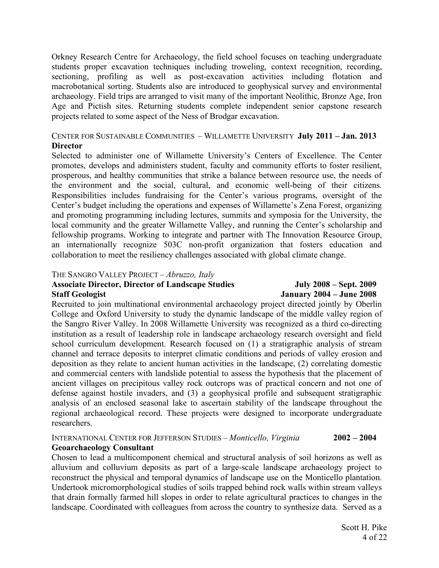Orkney Research Centre for Archaeology, the field school focuses on teaching undergraduate students proper excavation techniques including troweling, context recognition, recording, sectioning, profiling as well as post-excavation activities including flotation and macrobotanical sorting. Students also are introduced to geophysical survey and environmental archaeology. Field trips are arranged to visit many of the important Neolithic, Bronze Age, Iron Age and Pictish sites. Returning students complete independent senior capstone research projects related to some aspect of the Ness of Brodgar excavation.

# CENTER FOR SUSTAINABLE COMMUNITIES – WILLAMETTE UNIVERSITY **July 2011 – Jan. 2013 Director**

Selected to administer one of Willamette University's Centers of Excellence. The Center promotes, develops and administers student, faculty and community efforts to foster resilient, prosperous, and healthy communities that strike a balance between resource use, the needs of the environment and the social, cultural, and economic well-being of their citizens. Responsibilities includes fundraising for the Center's various programs, oversight of the Center's budget including the operations and expenses of Willamette's Zena Forest, organizing and promoting programming including lectures, summits and symposia for the University, the local community and the greater Willamette Valley, and running the Center's scholarship and fellowship programs. Working to integrate and partner with The Innovation Resource Group, an internationally recognize 503C non-profit organization that fosters education and collaboration to meet the resiliency challenges associated with global climate change.

#### THE SANGRO VALLEY PROJECT – *Abruzzo, Italy*

#### **Associate Director, Director of Landscape Studies July 2008 – Sept. 2009 Staff Geologist January 2004 – June 2008**

Recruited to join multinational environmental archaeology project directed jointly by Oberlin College and Oxford University to study the dynamic landscape of the middle valley region of the Sangro River Valley. In 2008 Willamette University was recognized as a third co-directing institution as a result of leadership role in landscape archaeology research oversight and field school curriculum development. Research focused on (1) a stratigraphic analysis of stream channel and terrace deposits to interpret climatic conditions and periods of valley erosion and deposition as they relate to ancient human activities in the landscape, (2) correlating domestic and commercial centers with landslide potential to assess the hypothesis that the placement of ancient villages on precipitous valley rock outcrops was of practical concern and not one of defense against hostile invaders, and (3) a geophysical profile and subsequent stratigraphic analysis of an enclosed seasonal lake to ascertain stability of the landscape throughout the regional archaeological record. These projects were designed to incorporate undergraduate researchers.

#### INTERNATIONAL CENTER FOR JEFFERSON STUDIES – *Monticello, Virginia* **2002 – 2004 Geoarchaeology Consultant**

Chosen to lead a multicomponent chemical and structural analysis of soil horizons as well as alluvium and colluvium deposits as part of a large-scale landscape archaeology project to reconstruct the physical and temporal dynamics of landscape use on the Monticello plantation. Undertook micromorphological studies of soils trapped behind rock walls within stream valleys that drain formally farmed hill slopes in order to relate agricultural practices to changes in the landscape. Coordinated with colleagues from across the country to synthesize data. Served as a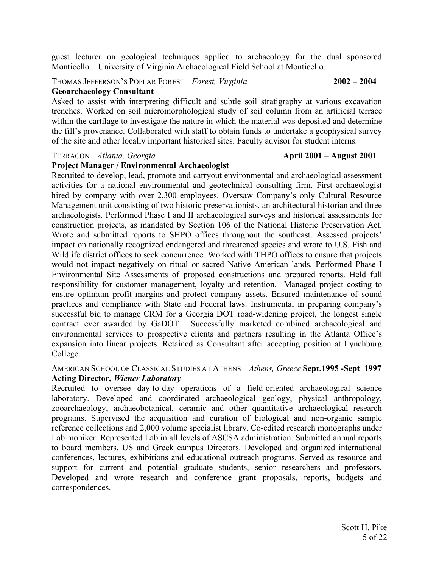guest lecturer on geological techniques applied to archaeology for the dual sponsored Monticello – University of Virginia Archaeological Field School at Monticello.

# THOMAS JEFFERSON'S POPLAR FOREST – *Forest, Virginia* **2002 – 2004**

#### **Geoarchaeology Consultant**

Asked to assist with interpreting difficult and subtle soil stratigraphy at various excavation trenches. Worked on soil micromorphological study of soil column from an artificial terrace within the cartilage to investigate the nature in which the material was deposited and determine the fill's provenance. Collaborated with staff to obtain funds to undertake a geophysical survey of the site and other locally important historical sites. Faculty advisor for student interns.

#### TERRACON – *Atlanta, Georgia* **April 2001 – August 2001**

# **Project Manager / Environmental Archaeologist**

Recruited to develop, lead, promote and carryout environmental and archaeological assessment activities for a national environmental and geotechnical consulting firm. First archaeologist hired by company with over 2,300 employees. Oversaw Company's only Cultural Resource Management unit consisting of two historic preservationists, an architectural historian and three archaeologists. Performed Phase I and II archaeological surveys and historical assessments for construction projects, as mandated by Section 106 of the National Historic Preservation Act. Wrote and submitted reports to SHPO offices throughout the southeast. Assessed projects' impact on nationally recognized endangered and threatened species and wrote to U.S. Fish and Wildlife district offices to seek concurrence. Worked with THPO offices to ensure that projects would not impact negatively on ritual or sacred Native American lands. Performed Phase I Environmental Site Assessments of proposed constructions and prepared reports. Held full responsibility for customer management, loyalty and retention. Managed project costing to ensure optimum profit margins and protect company assets. Ensured maintenance of sound practices and compliance with State and Federal laws. Instrumental in preparing company's successful bid to manage CRM for a Georgia DOT road-widening project, the longest single contract ever awarded by GaDOT. Successfully marketed combined archaeological and environmental services to prospective clients and partners resulting in the Atlanta Office's expansion into linear projects. Retained as Consultant after accepting position at Lynchburg College.

#### AMERICAN SCHOOL OF CLASSICAL STUDIES AT ATHENS – *Athens, Greece* **Sept.1995 -Sept 1997 Acting Director***, Wiener Laboratory*

Recruited to oversee day-to-day operations of a field-oriented archaeological science laboratory. Developed and coordinated archaeological geology, physical anthropology, zooarchaeology, archaeobotanical, ceramic and other quantitative archaeological research programs. Supervised the acquisition and curation of biological and non-organic sample reference collections and 2,000 volume specialist library. Co-edited research monographs under Lab moniker. Represented Lab in all levels of ASCSA administration. Submitted annual reports to board members, US and Greek campus Directors. Developed and organized international conferences, lectures, exhibitions and educational outreach programs. Served as resource and support for current and potential graduate students, senior researchers and professors. Developed and wrote research and conference grant proposals, reports, budgets and correspondences.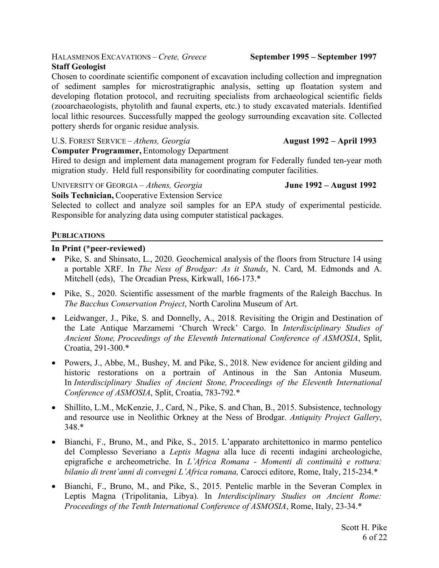#### HALASMENOS EXCAVATIONS – *Crete, Greece* **September 1995 – September 1997 Staff Geologist**

Chosen to coordinate scientific component of excavation including collection and impregnation of sediment samples for microstratigraphic analysis, setting up floatation system and developing flotation protocol, and recruiting specialists from archaeological scientific fields (zooarchaeologists, phytolith and faunal experts, etc.) to study excavated materials. Identified local lithic resources. Successfully mapped the geology surrounding excavation site. Collected pottery sherds for organic residue analysis.

# U.S. FOREST SERVICE – *Athens, Georgia* **August 1992 – April 1993**

Hired to design and implement data management program for Federally funded ten-year moth migration study. Held full responsibility for coordinating computer facilities.

UNIVERSITY OF GEORGIA – *Athens, Georgia* **June 1992 – August 1992** 

**Computer Programmer,** Entomology Department

**Soils Technician,** Cooperative Extension Service Selected to collect and analyze soil samples for an EPA study of experimental pesticide. Responsible for analyzing data using computer statistical packages.

# **PUBLICATIONS**

# **In Print (\*peer-reviewed)**

- Pike, S. and Shinsato, L., 2020. Geochemical analysis of the floors from Structure 14 using a portable XRF. In *The Ness of Brodgar: As it Stands*, N. Card, M. Edmonds and A. Mitchell (eds), The Orcadian Press, Kirkwall, 166-173.\*
- Pike, S., 2020. Scientific assessment of the marble fragments of the Raleigh Bacchus. In *The Bacchus Conservation Project*, North Carolina Museum of Art.
- Leidwanger, J., Pike, S. and Donnelly, A., 2018. Revisiting the Origin and Destination of the Late Antique Marzamemi 'Church Wreck' Cargo. In *Interdisciplinary Studies of Ancient Stone, Proceedings of the Eleventh International Conference of ASMOSIA*, Split, Croatia, 291-300.\*
- Powers, J., Abbe, M., Bushey, M. and Pike, S., 2018. New evidence for ancient gilding and historic restorations on a portrain of Antinous in the San Antonia Museum. In *Interdisciplinary Studies of Ancient Stone, Proceedings of the Eleventh International Conference of ASMOSIA*, Split, Croatia, 783-792.\*
- Shillito, L.M., McKenzie, J., Card, N., Pike, S. and Chan, B., 2015. Subsistence, technology and resource use in Neolithic Orkney at the Ness of Brodgar. *Antiquity Project Gallery*, 348.\*
- Bianchi, F., Bruno, M., and Pike, S., 2015. L'apparato architettonico in marmo pentelico del Complesso Severiano a *Leptis Magna* alla luce di recenti indagini archeologiche, epigrafiche e archeometriche. In *L'Africa Romana - Momenti di continuità e rottura: bilanio di trent'anni di convegni L'Africa romana,* Carocci editore, Rome, Italy, 215-234.\*
- Bianchi, F., Bruno, M., and Pike, S., 2015. Pentelic marble in the Severan Complex in Leptis Magna (Tripolitania, Libya). In *Interdisciplinary Studies on Ancient Rome: Proceedings of the Tenth International Conference of ASMOSIA*, Rome, Italy, 23-34.\*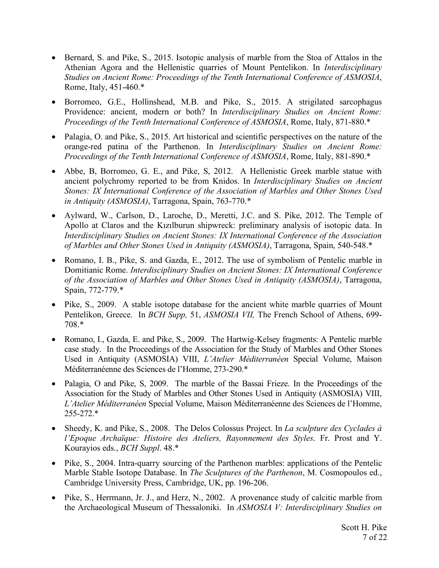- Bernard, S. and Pike, S., 2015. Isotopic analysis of marble from the Stoa of Attalos in the Athenian Agora and the Hellenistic quarries of Mount Pentelikon. In *Interdisciplinary Studies on Ancient Rome: Proceedings of the Tenth International Conference of ASMOSIA*, Rome, Italy, 451-460.\*
- Borromeo, G.E., Hollinshead, M.B. and Pike, S., 2015. A strigilated sarcophagus Providence: ancient, modern or both? In *Interdisciplinary Studies on Ancient Rome: Proceedings of the Tenth International Conference of ASMOSIA*, Rome, Italy, 871-880.\*
- Palagia, O. and Pike, S., 2015. Art historical and scientific perspectives on the nature of the orange-red patina of the Parthenon. In *Interdisciplinary Studies on Ancient Rome: Proceedings of the Tenth International Conference of ASMOSIA*, Rome, Italy, 881-890.\*
- Abbe, B, Borromeo, G. E., and Pike, S, 2012. A Hellenistic Greek marble statue with ancient polychromy reported to be from Knidos. In *Interdisciplinary Studies on Ancient Stones: IX International Conference of the Association of Marbles and Other Stones Used in Antiquity (ASMOSIA)*, Tarragona, Spain, 763-770.\*
- Aylward, W., Carlson, D., Laroche, D., Meretti, J.C. and S. Pike, 2012. The Temple of Apollo at Claros and the Kızılburun shipwreck: preliminary analysis of isotopic data. In *Interdisciplinary Studies on Ancient Stones: IX International Conference of the Association of Marbles and Other Stones Used in Antiquity (ASMOSIA)*, Tarragona, Spain, 540-548.\*
- Romano, I. B., Pike, S. and Gazda, E., 2012. The use of symbolism of Pentelic marble in Domitianic Rome. *Interdisciplinary Studies on Ancient Stones: IX International Conference of the Association of Marbles and Other Stones Used in Antiquity (ASMOSIA)*, Tarragona, Spain, 772-779.\*
- Pike, S., 2009. A stable isotope database for the ancient white marble quarries of Mount Pentelikon, Greece. In *BCH Supp,* 51, *ASMOSIA VII,* The French School of Athens, 699- 708.\*
- Romano, I., Gazda, E. and Pike, S., 2009. The Hartwig-Kelsey fragments: A Pentelic marble case study. In the Proceedings of the Association for the Study of Marbles and Other Stones Used in Antiquity (ASMOSIA) VIII, *L'Atelier Méditerranéen* Special Volume, Maison Méditerranéenne des Sciences de l'Homme, 273-290.\*
- Palagia, O and Pike, S, 2009. The marble of the Bassai Frieze. In the Proceedings of the Association for the Study of Marbles and Other Stones Used in Antiquity (ASMOSIA) VIII, *L'Atelier Méditerranéen* Special Volume, Maison Méditerranéenne des Sciences de l'Homme, 255-272.\*
- Sheedy, K. and Pike, S., 2008. The Delos Colossus Project. In *La sculpture des Cyclades à l'Epoque Archaïque: Histoire des Ateliers, Rayonnement des Styles*. Fr. Prost and Y. Kourayios eds., *BCH Suppl*. 48.\*
- Pike, S., 2004. Intra-quarry sourcing of the Parthenon marbles: applications of the Pentelic Marble Stable Isotope Database. In *The Sculptures of the Parthenon*, M. Cosmopoulos ed., Cambridge University Press, Cambridge, UK, pp. 196-206.
- Pike, S., Herrmann, Jr. J., and Herz, N., 2002. A provenance study of calcitic marble from the Archaeological Museum of Thessaloniki. In *ASMOSIA V: Interdisciplinary Studies on*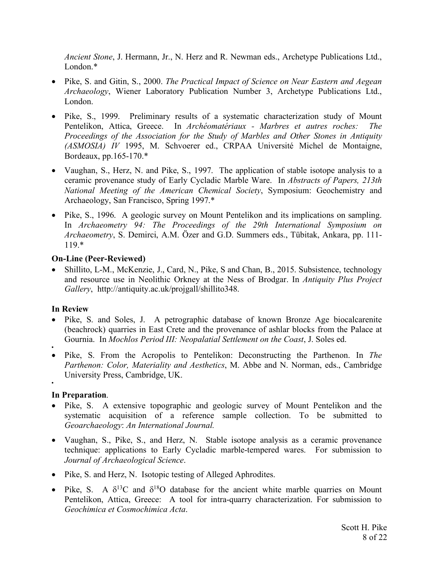*Ancient Stone*, J. Hermann, Jr., N. Herz and R. Newman eds., Archetype Publications Ltd., London<sup>\*</sup>

- Pike, S. and Gitin, S., 2000. *The Practical Impact of Science on Near Eastern and Aegean Archaeology*, Wiener Laboratory Publication Number 3, Archetype Publications Ltd., London.
- Pike, S., 1999. Preliminary results of a systematic characterization study of Mount Pentelikon, Attica, Greece. In *Archéomatériaux - Marbres et autres roches: The Proceedings of the Association for the Study of Marbles and Other Stones in Antiquity (ASMOSIA) IV* 1995, M. Schvoerer ed., CRPAA Université Michel de Montaigne, Bordeaux, pp.165-170.\*
- Vaughan, S., Herz, N. and Pike, S., 1997. The application of stable isotope analysis to a ceramic provenance study of Early Cycladic Marble Ware. In *Abstracts of Papers, 213th National Meeting of the American Chemical Society*, Symposium: Geochemistry and Archaeology, San Francisco, Spring 1997.\*
- Pike, S., 1996. A geologic survey on Mount Pentelikon and its implications on sampling. In *Archaeometry 94: The Proceedings of the 29th International Symposium on Archaeometry*, S. Demirci, A.M. Özer and G.D. Summers eds., Tübitak, Ankara, pp. 111- 119.\*

# **On-Line (Peer-Reviewed)**

• Shillito, L-M., McKenzie, J., Card, N., Pike, S and Chan, B., 2015. Subsistence, technology and resource use in Neolithic Orkney at the Ness of Brodgar. In *Antiquity Plus Project Gallery*, http://antiquity.ac.uk/projgall/shillito348.

# **In Review**

- Pike, S. and Soles, J. A petrographic database of known Bronze Age biocalcarenite (beachrock) quarries in East Crete and the provenance of ashlar blocks from the Palace at Gournia. In *Mochlos Period III: Neopalatial Settlement on the Coast*, J. Soles ed.
- •
- Pike, S. From the Acropolis to Pentelikon: Deconstructing the Parthenon. In *The Parthenon: Color, Materiality and Aesthetics*, M. Abbe and N. Norman, eds., Cambridge University Press, Cambridge, UK. •

# **In Preparation**.

- Pike, S. A extensive topographic and geologic survey of Mount Pentelikon and the systematic acquisition of a reference sample collection. To be submitted to *Geoarchaeology*: *An International Journal.*
- Vaughan, S., Pike, S., and Herz, N. Stable isotope analysis as a ceramic provenance technique: applications to Early Cycladic marble-tempered wares. For submission to *Journal of Archaeological Science*.
- Pike, S. and Herz, N. Isotopic testing of Alleged Aphrodites.
- Pike, S. A  $\delta^{13}$ C and  $\delta^{18}$ O database for the ancient white marble quarries on Mount Pentelikon, Attica, Greece: A tool for intra-quarry characterization. For submission to *Geochimica et Cosmochimica Acta*.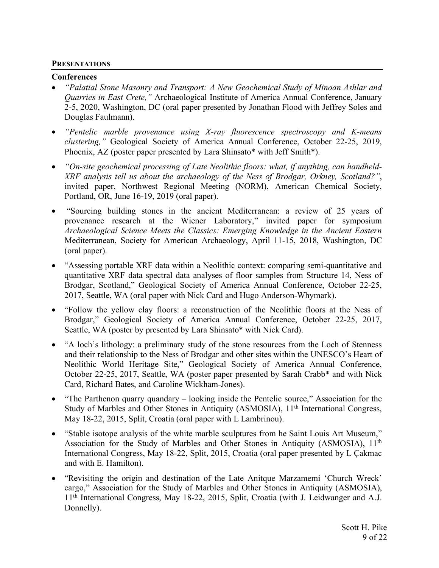#### **PRESENTATIONS**

#### **Conferences**

- *"Palatial Stone Masonry and Transport: A New Geochemical Study of Minoan Ashlar and Quarries in East Crete,"* Archaeological Institute of America Annual Conference, January 2-5, 2020, Washington, DC (oral paper presented by Jonathan Flood with Jeffrey Soles and Douglas Faulmann).
- *"Pentelic marble provenance using X-ray fluorescence spectroscopy and K-means clustering,"* Geological Society of America Annual Conference, October 22-25, 2019, Phoenix, AZ (poster paper presented by Lara Shinsato\* with Jeff Smith\*).
- *"On-site geochemical processing of Late Neolithic floors: what, if anything, can handheld-XRF analysis tell us about the archaeology of the Ness of Brodgar, Orkney, Scotland?"*, invited paper, Northwest Regional Meeting (NORM), American Chemical Society, Portland, OR, June 16-19, 2019 (oral paper).
- "Sourcing building stones in the ancient Mediterranean: a review of 25 years of provenance research at the Wiener Laboratory," invited paper for symposium *Archaeological Science Meets the Classics: Emerging Knowledge in the Ancient Eastern*  Mediterranean, Society for American Archaeology, April 11-15, 2018, Washington, DC (oral paper).
- "Assessing portable XRF data within a Neolithic context: comparing semi-quantitative and quantitative XRF data spectral data analyses of floor samples from Structure 14, Ness of Brodgar, Scotland," Geological Society of America Annual Conference, October 22-25, 2017, Seattle, WA (oral paper with Nick Card and Hugo Anderson-Whymark).
- "Follow the yellow clay floors: a reconstruction of the Neolithic floors at the Ness of Brodgar," Geological Society of America Annual Conference, October 22-25, 2017, Seattle, WA (poster by presented by Lara Shinsato\* with Nick Card).
- "A loch's lithology: a preliminary study of the stone resources from the Loch of Stenness and their relationship to the Ness of Brodgar and other sites within the UNESCO's Heart of Neolithic World Heritage Site," Geological Society of America Annual Conference, October 22-25, 2017, Seattle, WA (poster paper presented by Sarah Crabb\* and with Nick Card, Richard Bates, and Caroline Wickham-Jones).
- "The Parthenon quarry quandary looking inside the Pentelic source," Association for the Study of Marbles and Other Stones in Antiquity (ASMOSIA), 11<sup>th</sup> International Congress, May 18-22, 2015, Split, Croatia (oral paper with L Lambrinou).
- "Stable isotope analysis of the white marble sculptures from he Saint Louis Art Museum," Association for the Study of Marbles and Other Stones in Antiquity (ASMOSIA), 11<sup>th</sup> International Congress, May 18-22, Split, 2015, Croatia (oral paper presented by L Çakmac and with E. Hamilton).
- "Revisiting the origin and destination of the Late Anitque Marzamemi 'Church Wreck' cargo," Association for the Study of Marbles and Other Stones in Antiquity (ASMOSIA), 11th International Congress, May 18-22, 2015, Split, Croatia (with J. Leidwanger and A.J. Donnelly).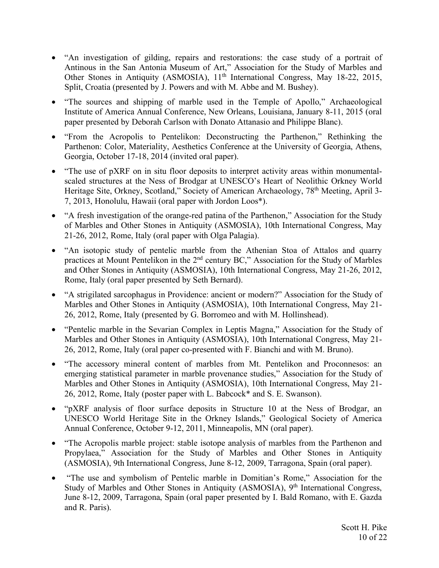- "An investigation of gilding, repairs and restorations: the case study of a portrait of Antinous in the San Antonia Museum of Art," Association for the Study of Marbles and Other Stones in Antiquity (ASMOSIA), 11<sup>th</sup> International Congress, May 18-22, 2015, Split, Croatia (presented by J. Powers and with M. Abbe and M. Bushey).
- "The sources and shipping of marble used in the Temple of Apollo," Archaeological Institute of America Annual Conference, New Orleans, Louisiana, January 8-11, 2015 (oral paper presented by Deborah Carlson with Donato Attanasio and Philippe Blanc).
- "From the Acropolis to Pentelikon: Deconstructing the Parthenon," Rethinking the Parthenon: Color, Materiality, Aesthetics Conference at the University of Georgia, Athens, Georgia, October 17-18, 2014 (invited oral paper).
- "The use of pXRF on in situ floor deposits to interpret activity areas within monumentalscaled structures at the Ness of Brodgar at UNESCO's Heart of Neolithic Orkney World Heritage Site, Orkney, Scotland," Society of American Archaeology, 78<sup>th</sup> Meeting, April 3-7, 2013, Honolulu, Hawaii (oral paper with Jordon Loos\*).
- "A fresh investigation of the orange-red patina of the Parthenon," Association for the Study of Marbles and Other Stones in Antiquity (ASMOSIA), 10th International Congress, May 21-26, 2012, Rome, Italy (oral paper with Olga Palagia).
- "An isotopic study of pentelic marble from the Athenian Stoa of Attalos and quarry practices at Mount Pentelikon in the 2nd century BC," Association for the Study of Marbles and Other Stones in Antiquity (ASMOSIA), 10th International Congress, May 21-26, 2012, Rome, Italy (oral paper presented by Seth Bernard).
- "A strigilated sarcophagus in Providence: ancient or modern?" Association for the Study of Marbles and Other Stones in Antiquity (ASMOSIA), 10th International Congress, May 21- 26, 2012, Rome, Italy (presented by G. Borromeo and with M. Hollinshead).
- "Pentelic marble in the Sevarian Complex in Leptis Magna," Association for the Study of Marbles and Other Stones in Antiquity (ASMOSIA), 10th International Congress, May 21- 26, 2012, Rome, Italy (oral paper co-presented with F. Bianchi and with M. Bruno).
- "The accessory mineral content of marbles from Mt. Pentelikon and Proconnesos: an emerging statistical parameter in marble provenance studies," Association for the Study of Marbles and Other Stones in Antiquity (ASMOSIA), 10th International Congress, May 21- 26, 2012, Rome, Italy (poster paper with L. Babcock\* and S. E. Swanson).
- "pXRF analysis of floor surface deposits in Structure 10 at the Ness of Brodgar, an UNESCO World Heritage Site in the Orkney Islands," Geological Society of America Annual Conference, October 9-12, 2011, Minneapolis, MN (oral paper).
- "The Acropolis marble project: stable isotope analysis of marbles from the Parthenon and Propylaea," Association for the Study of Marbles and Other Stones in Antiquity (ASMOSIA), 9th International Congress, June 8-12, 2009, Tarragona, Spain (oral paper).
- "The use and symbolism of Pentelic marble in Domitian's Rome," Association for the Study of Marbles and Other Stones in Antiquity (ASMOSIA), 9<sup>th</sup> International Congress, June 8-12, 2009, Tarragona, Spain (oral paper presented by I. Bald Romano, with E. Gazda and R. Paris).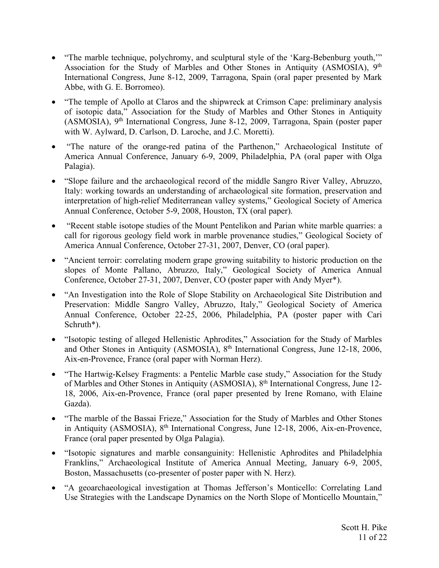- "The marble technique, polychromy, and sculptural style of the 'Karg-Bebenburg youth,'" Association for the Study of Marbles and Other Stones in Antiquity (ASMOSIA), 9<sup>th</sup> International Congress, June 8-12, 2009, Tarragona, Spain (oral paper presented by Mark Abbe, with G. E. Borromeo).
- "The temple of Apollo at Claros and the shipwreck at Crimson Cape: preliminary analysis of isotopic data," Association for the Study of Marbles and Other Stones in Antiquity (ASMOSIA), 9th International Congress, June 8-12, 2009, Tarragona, Spain (poster paper with W. Aylward, D. Carlson, D. Laroche, and J.C. Moretti).
- "The nature of the orange-red patina of the Parthenon," Archaeological Institute of America Annual Conference, January 6-9, 2009, Philadelphia, PA (oral paper with Olga Palagia).
- "Slope failure and the archaeological record of the middle Sangro River Valley, Abruzzo, Italy: working towards an understanding of archaeological site formation, preservation and interpretation of high-relief Mediterranean valley systems," Geological Society of America Annual Conference, October 5-9, 2008, Houston, TX (oral paper).
- "Recent stable isotope studies of the Mount Pentelikon and Parian white marble quarries: a call for rigorous geology field work in marble provenance studies," Geological Society of America Annual Conference, October 27-31, 2007, Denver, CO (oral paper).
- "Ancient terroir: correlating modern grape growing suitability to historic production on the slopes of Monte Pallano, Abruzzo, Italy," Geological Society of America Annual Conference, October 27-31, 2007, Denver, CO (poster paper with Andy Myer\*).
- "An Investigation into the Role of Slope Stability on Archaeological Site Distribution and Preservation: Middle Sangro Valley, Abruzzo, Italy," Geological Society of America Annual Conference, October 22-25, 2006, Philadelphia, PA (poster paper with Cari Schruth\*).
- "Isotopic testing of alleged Hellenistic Aphrodites," Association for the Study of Marbles and Other Stones in Antiquity (ASMOSIA), 8th International Congress, June 12-18, 2006, Aix-en-Provence, France (oral paper with Norman Herz).
- "The Hartwig-Kelsey Fragments: a Pentelic Marble case study," Association for the Study of Marbles and Other Stones in Antiquity (ASMOSIA), 8<sup>th</sup> International Congress, June 12-18, 2006, Aix-en-Provence, France (oral paper presented by Irene Romano, with Elaine Gazda).
- "The marble of the Bassai Frieze," Association for the Study of Marbles and Other Stones in Antiquity (ASMOSIA), 8th International Congress, June 12-18, 2006, Aix-en-Provence, France (oral paper presented by Olga Palagia).
- "Isotopic signatures and marble consanguinity: Hellenistic Aphrodites and Philadelphia Franklins," Archaeological Institute of America Annual Meeting, January 6-9, 2005, Boston, Massachusetts (co-presenter of poster paper with N. Herz).
- "A geoarchaeological investigation at Thomas Jefferson's Monticello: Correlating Land Use Strategies with the Landscape Dynamics on the North Slope of Monticello Mountain,"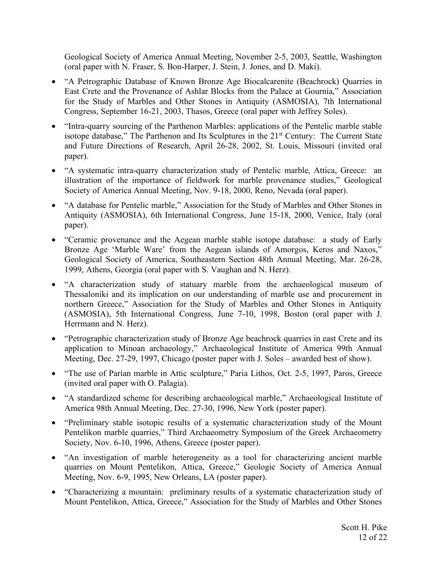Geological Society of America Annual Meeting, November 2-5, 2003, Seattle, Washington (oral paper with N. Fraser, S. Bon-Harper, J. Stein, J. Jones, and D. Maki).

- "A Petrographic Database of Known Bronze Age Biocalcarenite (Beachrock) Quarries in East Crete and the Provenance of Ashlar Blocks from the Palace at Gournia," Association for the Study of Marbles and Other Stones in Antiquity (ASMOSIA), 7th International Congress, September 16-21, 2003, Thasos, Greece (oral paper with Jeffrey Soles).
- "Intra-quarry sourcing of the Parthenon Marbles: applications of the Pentelic marble stable isotope database," The Parthenon and Its Sculptures in the 21<sup>st</sup> Century: The Current State and Future Directions of Research, April 26-28, 2002, St. Louis, Missouri (invited oral paper).
- "A systematic intra-quarry characterization study of Pentelic marble, Attica, Greece: an illustration of the importance of fieldwork for marble provenance studies," Geological Society of America Annual Meeting, Nov. 9-18, 2000, Reno, Nevada (oral paper).
- "A database for Pentelic marble," Association for the Study of Marbles and Other Stones in Antiquity (ASMOSIA), 6th International Congress, June 15-18, 2000, Venice, Italy (oral paper).
- "Ceramic provenance and the Aegean marble stable isotope database: a study of Early Bronze Age 'Marble Ware' from the Aegean islands of Amorgos, Keros and Naxos," Geological Society of America, Southeastern Section 48th Annual Meeting, Mar. 26-28, 1999, Athens, Georgia (oral paper with S. Vaughan and N. Herz).
- "A characterization study of statuary marble from the archaeological museum of Thessaloniki and its implication on our understanding of marble use and procurement in northern Greece," Association for the Study of Marbles and Other Stones in Antiquity (ASMOSIA), 5th International Congress, June 7-10, 1998, Boston (oral paper with J. Herrmann and N. Herz).
- "Petrographic characterization study of Bronze Age beachrock quarries in east Crete and its application to Minoan archaeology," Archaeological Institute of America 99th Annual Meeting, Dec. 27-29, 1997, Chicago (poster paper with J. Soles – awarded best of show).
- "The use of Parian marble in Attic sculpture," Paria Lithos, Oct. 2-5, 1997, Paros, Greece (invited oral paper with O. Palagia).
- "A standardized scheme for describing archaeological marble," Archaeological Institute of America 98th Annual Meeting, Dec. 27-30, 1996, New York (poster paper).
- "Preliminary stable isotopic results of a systematic characterization study of the Mount Pentelikon marble quarries," Third Archaeometry Symposium of the Greek Archaeometry Society, Nov. 6-10, 1996, Athens, Greece (poster paper).
- "An investigation of marble heterogeneity as a tool for characterizing ancient marble quarries on Mount Pentelikon, Attica, Greece," Geologic Society of America Annual Meeting, Nov. 6-9, 1995, New Orleans, LA (poster paper).
- "Characterizing a mountain: preliminary results of a systematic characterization study of Mount Pentelikon, Attica, Greece," Association for the Study of Marbles and Other Stones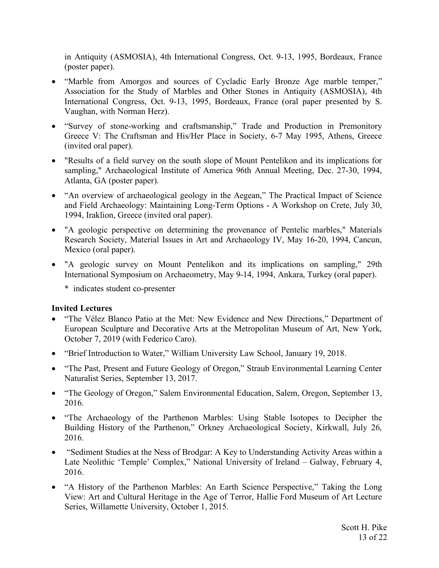in Antiquity (ASMOSIA), 4th International Congress, Oct. 9-13, 1995, Bordeaux, France (poster paper).

- "Marble from Amorgos and sources of Cycladic Early Bronze Age marble temper," Association for the Study of Marbles and Other Stones in Antiquity (ASMOSIA), 4th International Congress, Oct. 9-13, 1995, Bordeaux, France (oral paper presented by S. Vaughan, with Norman Herz).
- "Survey of stone-working and craftsmanship," Trade and Production in Premonitory Greece V: The Craftsman and His/Her Place in Society, 6-7 May 1995, Athens, Greece (invited oral paper).
- "Results of a field survey on the south slope of Mount Pentelikon and its implications for sampling," Archaeological Institute of America 96th Annual Meeting, Dec. 27-30, 1994, Atlanta, GA (poster paper).
- "An overview of archaeological geology in the Aegean," The Practical Impact of Science and Field Archaeology: Maintaining Long-Term Options - A Workshop on Crete, July 30, 1994, Iraklion, Greece (invited oral paper).
- "A geologic perspective on determining the provenance of Pentelic marbles," Materials Research Society, Material Issues in Art and Archaeology IV, May 16-20, 1994, Cancun, Mexico (oral paper).
- "A geologic survey on Mount Pentelikon and its implications on sampling," 29th International Symposium on Archaeometry, May 9-14, 1994, Ankara, Turkey (oral paper).
	- \* indicates student co-presenter

# **Invited Lectures**

- "The Vélez Blanco Patio at the Met: New Evidence and New Directions," Department of European Sculpture and Decorative Arts at the Metropolitan Museum of Art, New York, October 7, 2019 (with Federico Caro).
- "Brief Introduction to Water," William University Law School, January 19, 2018.
- "The Past, Present and Future Geology of Oregon," Straub Environmental Learning Center Naturalist Series, September 13, 2017.
- "The Geology of Oregon," Salem Environmental Education, Salem, Oregon, September 13, 2016.
- "The Archaeology of the Parthenon Marbles: Using Stable Isotopes to Decipher the Building History of the Parthenon," Orkney Archaeological Society, Kirkwall, July 26, 2016.
- "Sediment Studies at the Ness of Brodgar: A Key to Understanding Activity Areas within a Late Neolithic 'Temple' Complex," National University of Ireland – Galway, February 4, 2016.
- "A History of the Parthenon Marbles: An Earth Science Perspective," Taking the Long View: Art and Cultural Heritage in the Age of Terror, Hallie Ford Museum of Art Lecture Series, Willamette University, October 1, 2015.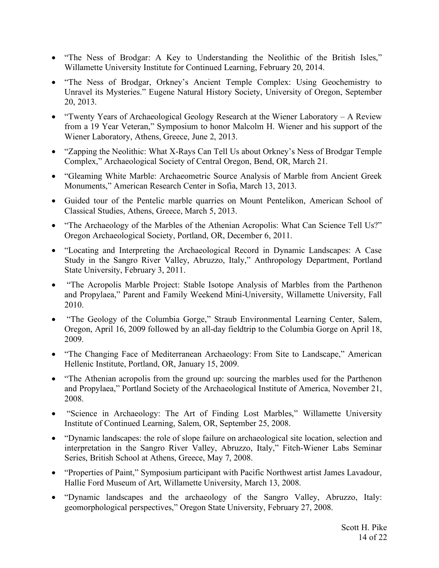- "The Ness of Brodgar: A Key to Understanding the Neolithic of the British Isles," Willamette University Institute for Continued Learning, February 20, 2014.
- "The Ness of Brodgar, Orkney's Ancient Temple Complex: Using Geochemistry to Unravel its Mysteries." Eugene Natural History Society, University of Oregon, September 20, 2013.
- "Twenty Years of Archaeological Geology Research at the Wiener Laboratory A Review from a 19 Year Veteran," Symposium to honor Malcolm H. Wiener and his support of the Wiener Laboratory, Athens, Greece, June 2, 2013.
- "Zapping the Neolithic: What X-Rays Can Tell Us about Orkney's Ness of Brodgar Temple Complex," Archaeological Society of Central Oregon, Bend, OR, March 21.
- "Gleaming White Marble: Archaeometric Source Analysis of Marble from Ancient Greek Monuments," American Research Center in Sofia, March 13, 2013.
- Guided tour of the Pentelic marble quarries on Mount Pentelikon, American School of Classical Studies, Athens, Greece, March 5, 2013.
- "The Archaeology of the Marbles of the Athenian Acropolis: What Can Science Tell Us?" Oregon Archaeological Society, Portland, OR, December 6, 2011.
- "Locating and Interpreting the Archaeological Record in Dynamic Landscapes: A Case Study in the Sangro River Valley, Abruzzo, Italy," Anthropology Department, Portland State University, February 3, 2011.
- "The Acropolis Marble Project: Stable Isotope Analysis of Marbles from the Parthenon and Propylaea," Parent and Family Weekend Mini-University, Willamette University, Fall 2010.
- "The Geology of the Columbia Gorge," Straub Environmental Learning Center, Salem, Oregon, April 16, 2009 followed by an all-day fieldtrip to the Columbia Gorge on April 18, 2009.
- "The Changing Face of Mediterranean Archaeology: From Site to Landscape," American Hellenic Institute, Portland, OR, January 15, 2009.
- "The Athenian acropolis from the ground up: sourcing the marbles used for the Parthenon and Propylaea," Portland Society of the Archaeological Institute of America, November 21, 2008.
- "Science in Archaeology: The Art of Finding Lost Marbles," Willamette University Institute of Continued Learning, Salem, OR, September 25, 2008.
- "Dynamic landscapes: the role of slope failure on archaeological site location, selection and interpretation in the Sangro River Valley, Abruzzo, Italy," Fitch-Wiener Labs Seminar Series, British School at Athens, Greece, May 7, 2008.
- "Properties of Paint," Symposium participant with Pacific Northwest artist James Lavadour, Hallie Ford Museum of Art, Willamette University, March 13, 2008.
- "Dynamic landscapes and the archaeology of the Sangro Valley, Abruzzo, Italy: geomorphological perspectives," Oregon State University, February 27, 2008.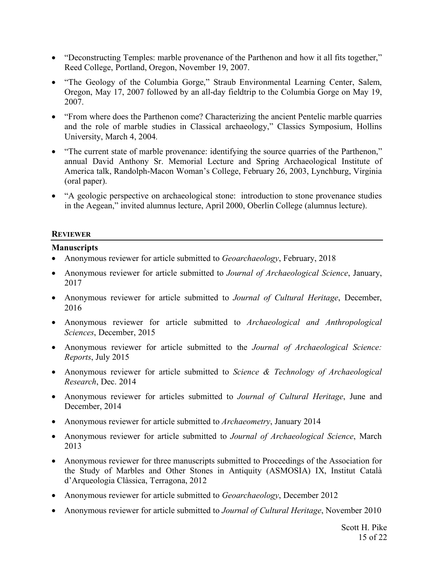- "Deconstructing Temples: marble provenance of the Parthenon and how it all fits together," Reed College, Portland, Oregon, November 19, 2007.
- "The Geology of the Columbia Gorge," Straub Environmental Learning Center, Salem, Oregon, May 17, 2007 followed by an all-day fieldtrip to the Columbia Gorge on May 19, 2007.
- "From where does the Parthenon come? Characterizing the ancient Pentelic marble quarries and the role of marble studies in Classical archaeology," Classics Symposium, Hollins University, March 4, 2004.
- "The current state of marble provenance: identifying the source quarries of the Parthenon," annual David Anthony Sr. Memorial Lecture and Spring Archaeological Institute of America talk, Randolph-Macon Woman's College, February 26, 2003, Lynchburg, Virginia (oral paper).
- "A geologic perspective on archaeological stone: introduction to stone provenance studies in the Aegean," invited alumnus lecture, April 2000, Oberlin College (alumnus lecture).

#### **REVIEWER**

# **Manuscripts**

- Anonymous reviewer for article submitted to *Geoarchaeology*, February, 2018
- Anonymous reviewer for article submitted to *Journal of Archaeological Science*, January, 2017
- Anonymous reviewer for article submitted to *Journal of Cultural Heritage*, December, 2016
- Anonymous reviewer for article submitted to *Archaeological and Anthropological Sciences*, December, 2015
- Anonymous reviewer for article submitted to the *Journal of Archaeological Science: Reports*, July 2015
- Anonymous reviewer for article submitted to *Science & Technology of Archaeological Research*, Dec. 2014
- Anonymous reviewer for articles submitted to *Journal of Cultural Heritage*, June and December, 2014
- Anonymous reviewer for article submitted to *Archaeometry*, January 2014
- Anonymous reviewer for article submitted to *Journal of Archaeological Science*, March 2013
- Anonymous reviewer for three manuscripts submitted to Proceedings of the Association for the Study of Marbles and Other Stones in Antiquity (ASMOSIA) IX, Institut Català d'Arqueologia Clàssica, Terragona, 2012
- Anonymous reviewer for article submitted to *Geoarchaeology*, December 2012
- Anonymous reviewer for article submitted to *Journal of Cultural Heritage*, November 2010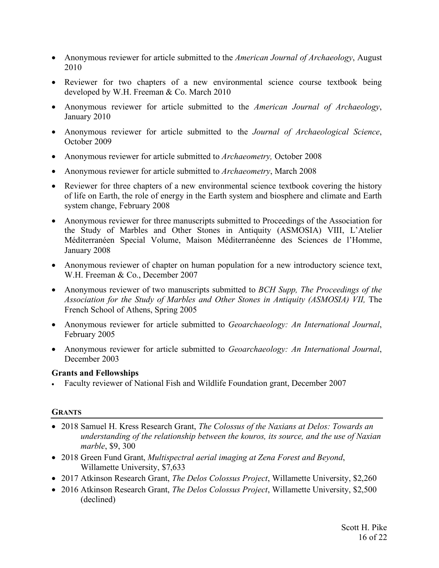- Anonymous reviewer for article submitted to the *American Journal of Archaeology*, August 2010
- Reviewer for two chapters of a new environmental science course textbook being developed by W.H. Freeman & Co. March 2010
- Anonymous reviewer for article submitted to the *American Journal of Archaeology*, January 2010
- Anonymous reviewer for article submitted to the *Journal of Archaeological Science*, October 2009
- Anonymous reviewer for article submitted to *Archaeometry,* October 2008
- Anonymous reviewer for article submitted to *Archaeometry*, March 2008
- Reviewer for three chapters of a new environmental science textbook covering the history of life on Earth, the role of energy in the Earth system and biosphere and climate and Earth system change, February 2008
- Anonymous reviewer for three manuscripts submitted to Proceedings of the Association for the Study of Marbles and Other Stones in Antiquity (ASMOSIA) VIII, L'Atelier Méditerranéen Special Volume, Maison Méditerranéenne des Sciences de l'Homme, January 2008
- Anonymous reviewer of chapter on human population for a new introductory science text, W.H. Freeman & Co., December 2007
- Anonymous reviewer of two manuscripts submitted to *BCH Supp, The Proceedings of the Association for the Study of Marbles and Other Stones in Antiquity (ASMOSIA) VII, The* French School of Athens, Spring 2005
- Anonymous reviewer for article submitted to *Geoarchaeology: An International Journal*, February 2005
- Anonymous reviewer for article submitted to *Geoarchaeology: An International Journal*, December 2003

# **Grants and Fellowships**

• Faculty reviewer of National Fish and Wildlife Foundation grant, December 2007

# **GRANTS**

- 2018 Samuel H. Kress Research Grant, *The Colossus of the Naxians at Delos: Towards an understanding of the relationship between the kouros, its source, and the use of Naxian marble*, \$9, 300
- 2018 Green Fund Grant, *Multispectral aerial imaging at Zena Forest and Beyond*, Willamette University, \$7,633
- 2017 Atkinson Research Grant, *The Delos Colossus Project*, Willamette University, \$2,260
- 2016 Atkinson Research Grant, *The Delos Colossus Project*, Willamette University, \$2,500 (declined)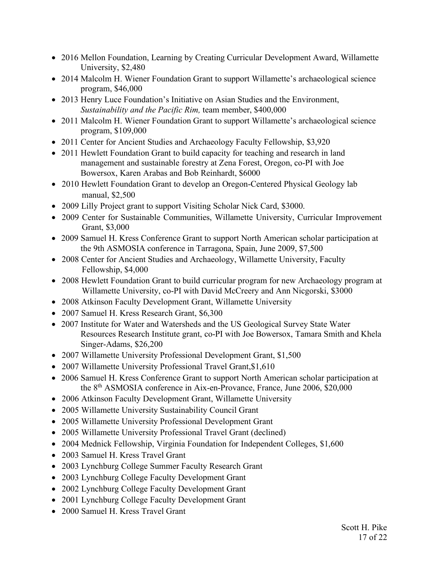- 2016 Mellon Foundation, Learning by Creating Curricular Development Award, Willamette University, \$2,480
- 2014 Malcolm H. Wiener Foundation Grant to support Willamette's archaeological science program, \$46,000
- 2013 Henry Luce Foundation's Initiative on Asian Studies and the Environment, *Sustainability and the Pacific Rim,* team member, \$400,000
- 2011 Malcolm H. Wiener Foundation Grant to support Willamette's archaeological science program, \$109,000
- 2011 Center for Ancient Studies and Archaeology Faculty Fellowship, \$3,920
- 2011 Hewlett Foundation Grant to build capacity for teaching and research in land management and sustainable forestry at Zena Forest, Oregon, co-PI with Joe Bowersox, Karen Arabas and Bob Reinhardt, \$6000
- 2010 Hewlett Foundation Grant to develop an Oregon-Centered Physical Geology lab manual, \$2,500
- 2009 Lilly Project grant to support Visiting Scholar Nick Card, \$3000.
- 2009 Center for Sustainable Communities, Willamette University, Curricular Improvement Grant, \$3,000
- 2009 Samuel H. Kress Conference Grant to support North American scholar participation at the 9th ASMOSIA conference in Tarragona, Spain, June 2009, \$7,500
- 2008 Center for Ancient Studies and Archaeology, Willamette University, Faculty Fellowship, \$4,000
- 2008 Hewlett Foundation Grant to build curricular program for new Archaeology program at Willamette University, co-PI with David McCreery and Ann Nicgorski, \$3000
- 2008 Atkinson Faculty Development Grant, Willamette University
- 2007 Samuel H. Kress Research Grant, \$6,300
- 2007 Institute for Water and Watersheds and the US Geological Survey State Water Resources Research Institute grant, co-PI with Joe Bowersox, Tamara Smith and Khela Singer-Adams, \$26,200
- 2007 Willamette University Professional Development Grant, \$1,500
- 2007 Willamette University Professional Travel Grant,\$1,610
- 2006 Samuel H. Kress Conference Grant to support North American scholar participation at the 8th ASMOSIA conference in Aix-en-Provance, France, June 2006, \$20,000
- 2006 Atkinson Faculty Development Grant, Willamette University
- 2005 Willamette University Sustainability Council Grant
- 2005 Willamette University Professional Development Grant
- 2005 Willamette University Professional Travel Grant (declined)
- 2004 Mednick Fellowship, Virginia Foundation for Independent Colleges, \$1,600
- 2003 Samuel H. Kress Travel Grant
- 2003 Lynchburg College Summer Faculty Research Grant
- 2003 Lynchburg College Faculty Development Grant
- 2002 Lynchburg College Faculty Development Grant
- 2001 Lynchburg College Faculty Development Grant
- 2000 Samuel H. Kress Travel Grant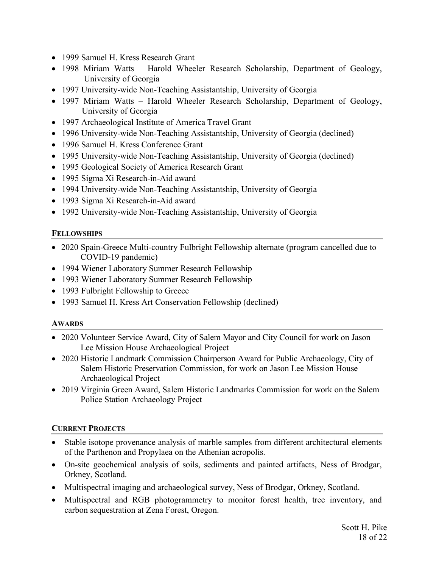- 1999 Samuel H. Kress Research Grant
- 1998 Miriam Watts Harold Wheeler Research Scholarship, Department of Geology, University of Georgia
- 1997 University-wide Non-Teaching Assistantship, University of Georgia
- 1997 Miriam Watts Harold Wheeler Research Scholarship, Department of Geology, University of Georgia
- 1997 Archaeological Institute of America Travel Grant
- 1996 University-wide Non-Teaching Assistantship, University of Georgia (declined)
- 1996 Samuel H. Kress Conference Grant
- 1995 University-wide Non-Teaching Assistantship, University of Georgia (declined)
- 1995 Geological Society of America Research Grant
- 1995 Sigma Xi Research-in-Aid award
- 1994 University-wide Non-Teaching Assistantship, University of Georgia
- 1993 Sigma Xi Research-in-Aid award
- 1992 University-wide Non-Teaching Assistantship, University of Georgia

# **FELLOWSHIPS**

- 2020 Spain-Greece Multi-country Fulbright Fellowship alternate (program cancelled due to COVID-19 pandemic)
- 1994 Wiener Laboratory Summer Research Fellowship
- 1993 Wiener Laboratory Summer Research Fellowship
- 1993 Fulbright Fellowship to Greece
- 1993 Samuel H. Kress Art Conservation Fellowship (declined)

# **AWARDS**

- 2020 Volunteer Service Award, City of Salem Mayor and City Council for work on Jason Lee Mission House Archaeological Project
- 2020 Historic Landmark Commission Chairperson Award for Public Archaeology, City of Salem Historic Preservation Commission, for work on Jason Lee Mission House Archaeological Project
- 2019 Virginia Green Award, Salem Historic Landmarks Commission for work on the Salem Police Station Archaeology Project

# **CURRENT PROJECTS**

- Stable isotope provenance analysis of marble samples from different architectural elements of the Parthenon and Propylaea on the Athenian acropolis.
- On-site geochemical analysis of soils, sediments and painted artifacts, Ness of Brodgar, Orkney, Scotland.
- Multispectral imaging and archaeological survey, Ness of Brodgar, Orkney, Scotland.
- Multispectral and RGB photogrammetry to monitor forest health, tree inventory, and carbon sequestration at Zena Forest, Oregon.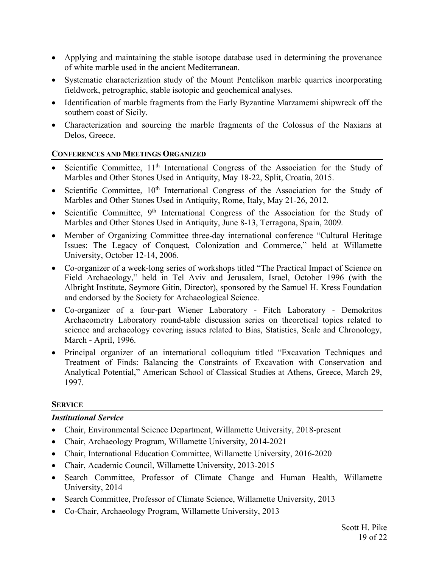- Applying and maintaining the stable isotope database used in determining the provenance of white marble used in the ancient Mediterranean.
- Systematic characterization study of the Mount Pentelikon marble quarries incorporating fieldwork, petrographic, stable isotopic and geochemical analyses.
- Identification of marble fragments from the Early Byzantine Marzamemi shipwreck off the southern coast of Sicily.
- Characterization and sourcing the marble fragments of the Colossus of the Naxians at Delos, Greece.

# **CONFERENCES AND MEETINGS ORGANIZED**

- Scientific Committee, 11<sup>th</sup> International Congress of the Association for the Study of Marbles and Other Stones Used in Antiquity, May 18-22, Split, Croatia, 2015.
- Scientific Committee,  $10<sup>th</sup>$  International Congress of the Association for the Study of Marbles and Other Stones Used in Antiquity, Rome, Italy, May 21-26, 2012.
- Scientific Committee,  $9<sup>th</sup>$  International Congress of the Association for the Study of Marbles and Other Stones Used in Antiquity, June 8-13, Terragona, Spain, 2009.
- Member of Organizing Committee three-day international conference "Cultural Heritage Issues: The Legacy of Conquest, Colonization and Commerce," held at Willamette University, October 12-14, 2006.
- Co-organizer of a week-long series of workshops titled "The Practical Impact of Science on Field Archaeology," held in Tel Aviv and Jerusalem, Israel, October 1996 (with the Albright Institute, Seymore Gitin, Director), sponsored by the Samuel H. Kress Foundation and endorsed by the Society for Archaeological Science.
- Co-organizer of a four-part Wiener Laboratory Fitch Laboratory Demokritos Archaeometry Laboratory round-table discussion series on theoretical topics related to science and archaeology covering issues related to Bias, Statistics, Scale and Chronology, March - April, 1996.
- Principal organizer of an international colloquium titled "Excavation Techniques and Treatment of Finds: Balancing the Constraints of Excavation with Conservation and Analytical Potential," American School of Classical Studies at Athens, Greece, March 29, 1997.

# **SERVICE**

# *Institutional Service*

- Chair, Environmental Science Department, Willamette University, 2018-present
- Chair, Archaeology Program, Willamette University, 2014-2021
- Chair, International Education Committee, Willamette University, 2016-2020
- Chair, Academic Council, Willamette University, 2013-2015
- Search Committee, Professor of Climate Change and Human Health, Willamette University, 2014
- Search Committee, Professor of Climate Science, Willamette University, 2013
- Co-Chair, Archaeology Program, Willamette University, 2013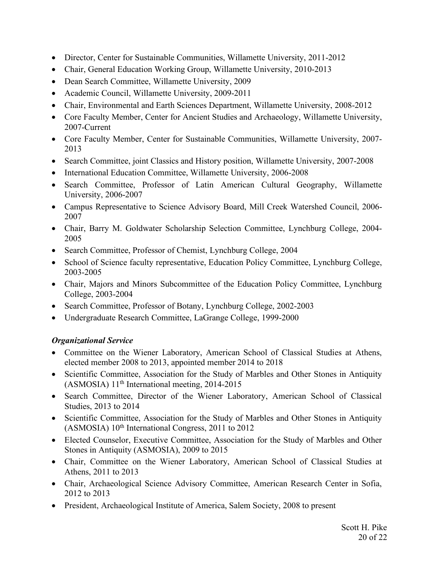- Director, Center for Sustainable Communities, Willamette University, 2011-2012
- Chair, General Education Working Group, Willamette University, 2010-2013
- Dean Search Committee, Willamette University, 2009
- Academic Council, Willamette University, 2009-2011
- Chair, Environmental and Earth Sciences Department, Willamette University, 2008-2012
- Core Faculty Member, Center for Ancient Studies and Archaeology, Willamette University, 2007-Current
- Core Faculty Member, Center for Sustainable Communities, Willamette University, 2007- 2013
- Search Committee, joint Classics and History position, Willamette University, 2007-2008
- International Education Committee, Willamette University, 2006-2008
- Search Committee, Professor of Latin American Cultural Geography, Willamette University, 2006-2007
- Campus Representative to Science Advisory Board, Mill Creek Watershed Council, 2006- 2007
- Chair, Barry M. Goldwater Scholarship Selection Committee, Lynchburg College, 2004- 2005
- Search Committee, Professor of Chemist, Lynchburg College, 2004
- School of Science faculty representative, Education Policy Committee, Lynchburg College, 2003-2005
- Chair, Majors and Minors Subcommittee of the Education Policy Committee, Lynchburg College, 2003-2004
- Search Committee, Professor of Botany, Lynchburg College, 2002-2003
- Undergraduate Research Committee, LaGrange College, 1999-2000

# *Organizational Service*

- Committee on the Wiener Laboratory, American School of Classical Studies at Athens, elected member 2008 to 2013, appointed member 2014 to 2018
- Scientific Committee, Association for the Study of Marbles and Other Stones in Antiquity (ASMOSIA)  $11<sup>th</sup>$  International meeting, 2014-2015
- Search Committee, Director of the Wiener Laboratory, American School of Classical Studies, 2013 to 2014
- Scientific Committee, Association for the Study of Marbles and Other Stones in Antiquity  $(ASMOSIA)$  10<sup>th</sup> International Congress, 2011 to 2012
- Elected Counselor, Executive Committee, Association for the Study of Marbles and Other Stones in Antiquity (ASMOSIA), 2009 to 2015
- Chair, Committee on the Wiener Laboratory, American School of Classical Studies at Athens, 2011 to 2013
- Chair, Archaeological Science Advisory Committee, American Research Center in Sofia, 2012 to 2013
- President, Archaeological Institute of America, Salem Society, 2008 to present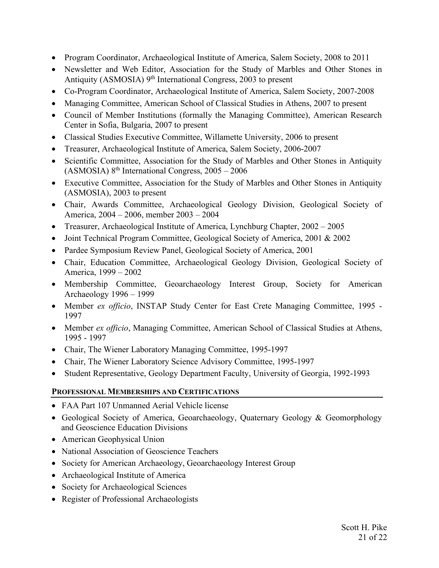- Program Coordinator, Archaeological Institute of America, Salem Society, 2008 to 2011
- Newsletter and Web Editor, Association for the Study of Marbles and Other Stones in Antiquity (ASMOSIA) 9<sup>th</sup> International Congress, 2003 to present
- Co-Program Coordinator, Archaeological Institute of America, Salem Society, 2007-2008
- Managing Committee, American School of Classical Studies in Athens, 2007 to present
- Council of Member Institutions (formally the Managing Committee), American Research Center in Sofia, Bulgaria, 2007 to present
- Classical Studies Executive Committee, Willamette University, 2006 to present
- Treasurer, Archaeological Institute of America, Salem Society, 2006-2007
- Scientific Committee, Association for the Study of Marbles and Other Stones in Antiquity  $(ASMOSIA)$   $8<sup>th</sup> International Congress, 2005 - 2006$
- Executive Committee, Association for the Study of Marbles and Other Stones in Antiquity (ASMOSIA), 2003 to present
- Chair, Awards Committee, Archaeological Geology Division, Geological Society of America, 2004 – 2006, member 2003 – 2004
- Treasurer, Archaeological Institute of America, Lynchburg Chapter, 2002 2005
- Joint Technical Program Committee, Geological Society of America, 2001 & 2002
- Pardee Symposium Review Panel, Geological Society of America, 2001
- Chair, Education Committee, Archaeological Geology Division, Geological Society of America, 1999 – 2002
- Membership Committee, Geoarchaeology Interest Group, Society for American Archaeology 1996 – 1999
- Member *ex officio*, INSTAP Study Center for East Crete Managing Committee, 1995 1997
- Member *ex officio*, Managing Committee, American School of Classical Studies at Athens, 1995 - 1997
- Chair, The Wiener Laboratory Managing Committee, 1995-1997
- Chair, The Wiener Laboratory Science Advisory Committee, 1995-1997
- Student Representative, Geology Department Faculty, University of Georgia, 1992-1993

# **PROFESSIONAL MEMBERSHIPS AND CERTIFICATIONS**

- FAA Part 107 Unmanned Aerial Vehicle license
- Geological Society of America, Geoarchaeology, Quaternary Geology & Geomorphology and Geoscience Education Divisions
- American Geophysical Union
- National Association of Geoscience Teachers
- Society for American Archaeology, Geoarchaeology Interest Group
- Archaeological Institute of America
- Society for Archaeological Sciences
- Register of Professional Archaeologists